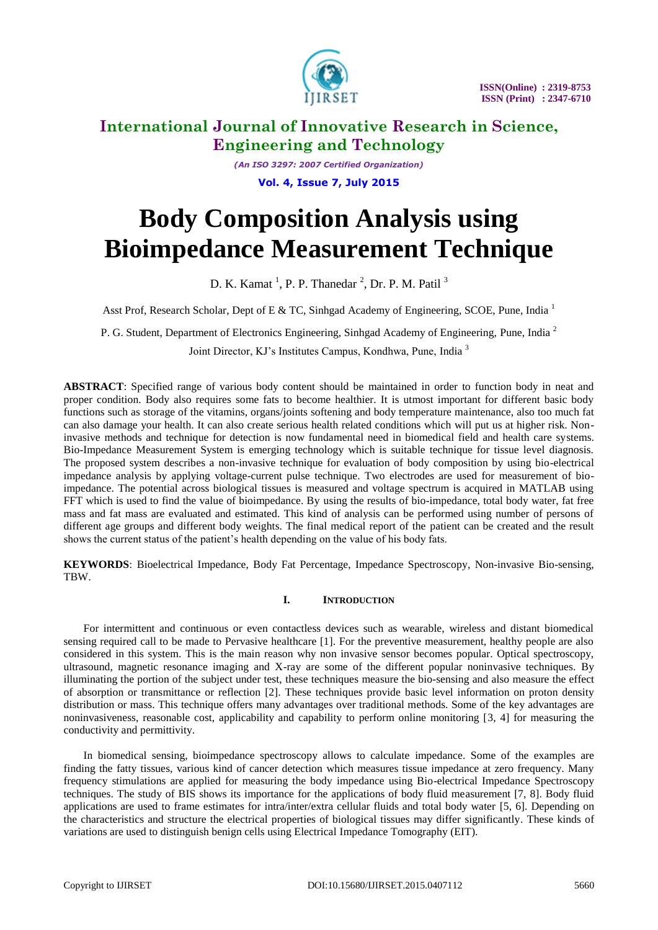

*(An ISO 3297: 2007 Certified Organization)* **Vol. 4, Issue 7, July 2015**

# **Body Composition Analysis using Bioimpedance Measurement Technique**

D. K. Kamat<sup>1</sup>, P. P. Thanedar<sup>2</sup>, Dr. P. M. Patil<sup>3</sup>

Asst Prof, Research Scholar, Dept of E & TC, Sinhgad Academy of Engineering, SCOE, Pune, India<sup>1</sup>

P. G. Student, Department of Electronics Engineering, Sinhgad Academy of Engineering, Pune, India<sup>2</sup>

Joint Director, KJ's Institutes Campus, Kondhwa, Pune, India <sup>3</sup>

**ABSTRACT**: Specified range of various body content should be maintained in order to function body in neat and proper condition. Body also requires some fats to become healthier. It is utmost important for different basic body functions such as storage of the vitamins, organs/joints softening and body temperature maintenance, also too much fat can also damage your health. It can also create serious health related conditions which will put us at higher risk. Noninvasive methods and technique for detection is now fundamental need in biomedical field and health care systems. Bio-Impedance Measurement System is emerging technology which is suitable technique for tissue level diagnosis. The proposed system describes a non-invasive technique for evaluation of body composition by using bio-electrical impedance analysis by applying voltage-current pulse technique. Two electrodes are used for measurement of bioimpedance. The potential across biological tissues is measured and voltage spectrum is acquired in MATLAB using FFT which is used to find the value of bioimpedance. By using the results of bio-impedance, total body water, fat free mass and fat mass are evaluated and estimated. This kind of analysis can be performed using number of persons of different age groups and different body weights. The final medical report of the patient can be created and the result shows the current status of the patient's health depending on the value of his body fats.

**KEYWORDS**: Bioelectrical Impedance, Body Fat Percentage, Impedance Spectroscopy, Non-invasive Bio-sensing, TBW.

### **I. INTRODUCTION**

For intermittent and continuous or even contactless devices such as wearable, wireless and distant biomedical sensing required call to be made to Pervasive healthcare [1]. For the preventive measurement, healthy people are also considered in this system. This is the main reason why non invasive sensor becomes popular. Optical spectroscopy, ultrasound, magnetic resonance imaging and X-ray are some of the different popular noninvasive techniques. By illuminating the portion of the subject under test, these techniques measure the bio-sensing and also measure the effect of absorption or transmittance or reflection [2]. These techniques provide basic level information on proton density distribution or mass. This technique offers many advantages over traditional methods. Some of the key advantages are noninvasiveness, reasonable cost, applicability and capability to perform online monitoring [3, 4] for measuring the conductivity and permittivity.

In biomedical sensing, bioimpedance spectroscopy allows to calculate impedance. Some of the examples are finding the fatty tissues, various kind of cancer detection which measures tissue impedance at zero frequency. Many frequency stimulations are applied for measuring the body impedance using Bio-electrical Impedance Spectroscopy techniques. The study of BIS shows its importance for the applications of body fluid measurement [7, 8]. Body fluid applications are used to frame estimates for intra/inter/extra cellular fluids and total body water [5, 6]. Depending on the characteristics and structure the electrical properties of biological tissues may differ significantly. These kinds of variations are used to distinguish benign cells using Electrical Impedance Tomography (EIT).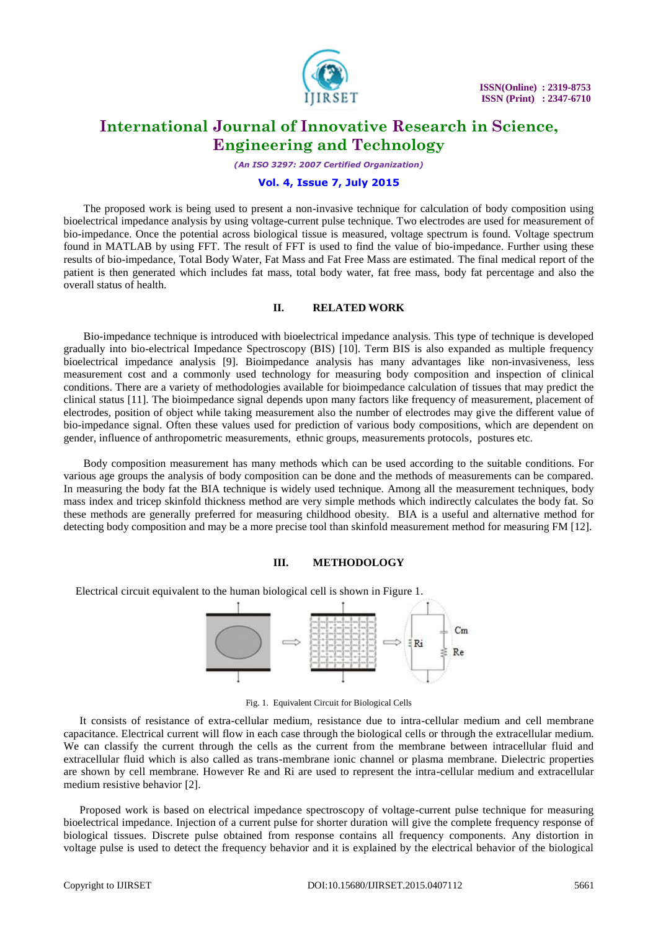

*(An ISO 3297: 2007 Certified Organization)*

#### **Vol. 4, Issue 7, July 2015**

The proposed work is being used to present a non-invasive technique for calculation of body composition using bioelectrical impedance analysis by using voltage-current pulse technique. Two electrodes are used for measurement of bio-impedance. Once the potential across biological tissue is measured, voltage spectrum is found. Voltage spectrum found in MATLAB by using FFT. The result of FFT is used to find the value of bio-impedance. Further using these results of bio-impedance, Total Body Water, Fat Mass and Fat Free Mass are estimated. The final medical report of the patient is then generated which includes fat mass, total body water, fat free mass, body fat percentage and also the overall status of health.

#### **II. RELATED WORK**

Bio-impedance technique is introduced with bioelectrical impedance analysis. This type of technique is developed gradually into bio-electrical Impedance Spectroscopy (BIS) [10]. Term BIS is also expanded as multiple frequency bioelectrical impedance analysis [9]. Bioimpedance analysis has many advantages like non-invasiveness, less measurement cost and a commonly used technology for measuring body composition and inspection of clinical conditions. There are a variety of methodologies available for bioimpedance calculation of tissues that may predict the clinical status [11]. The bioimpedance signal depends upon many factors like frequency of measurement, placement of electrodes, position of object while taking measurement also the number of electrodes may give the different value of bio-impedance signal. Often these values used for prediction of various body compositions, which are dependent on gender, influence of anthropometric measurements, ethnic groups, measurements protocols, postures etc.

Body composition measurement has many methods which can be used according to the suitable conditions. For various age groups the analysis of body composition can be done and the methods of measurements can be compared. In measuring the body fat the BIA technique is widely used technique. Among all the measurement techniques, body mass index and tricep skinfold thickness method are very simple methods which indirectly calculates the body fat. So these methods are generally preferred for measuring childhood obesity. BIA is a useful and alternative method for detecting body composition and may be a more precise tool than skinfold measurement method for measuring FM [12].

#### **III. METHODOLOGY**

Electrical circuit equivalent to the human biological cell is shown in Figure 1.



Fig. 1. Equivalent Circuit for Biological Cells

It consists of resistance of extra-cellular medium, resistance due to intra-cellular medium and cell membrane capacitance. Electrical current will flow in each case through the biological cells or through the extracellular medium. We can classify the current through the cells as the current from the membrane between intracellular fluid and extracellular fluid which is also called as trans-membrane ionic channel or plasma membrane. Dielectric properties are shown by cell membrane. However Re and Ri are used to represent the intra-cellular medium and extracellular medium resistive behavior [2].

Proposed work is based on electrical impedance spectroscopy of voltage-current pulse technique for measuring bioelectrical impedance. Injection of a current pulse for shorter duration will give the complete frequency response of biological tissues. Discrete pulse obtained from response contains all frequency components. Any distortion in voltage pulse is used to detect the frequency behavior and it is explained by the electrical behavior of the biological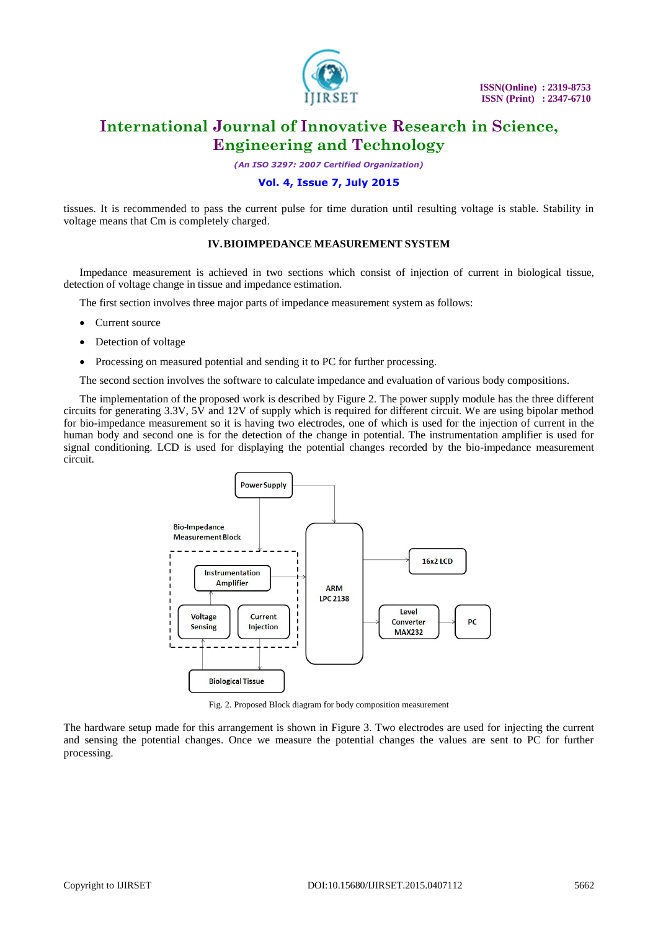

*(An ISO 3297: 2007 Certified Organization)*

### **Vol. 4, Issue 7, July 2015**

tissues. It is recommended to pass the current pulse for time duration until resulting voltage is stable. Stability in voltage means that Cm is completely charged.

### **IV.BIOIMPEDANCE MEASUREMENT SYSTEM**

Impedance measurement is achieved in two sections which consist of injection of current in biological tissue, detection of voltage change in tissue and impedance estimation.

The first section involves three major parts of impedance measurement system as follows:

- Current source
- Detection of voltage
- Processing on measured potential and sending it to PC for further processing.

The second section involves the software to calculate impedance and evaluation of various body compositions.

The implementation of the proposed work is described by Figure 2. The power supply module has the three different circuits for generating 3.3V, 5V and 12V of supply which is required for different circuit. We are using bipolar method for bio-impedance measurement so it is having two electrodes, one of which is used for the injection of current in the human body and second one is for the detection of the change in potential. The instrumentation amplifier is used for signal conditioning. LCD is used for displaying the potential changes recorded by the bio-impedance measurement circuit.



Fig. 2. Proposed Block diagram for body composition measurement

The hardware setup made for this arrangement is shown in Figure 3. Two electrodes are used for injecting the current and sensing the potential changes. Once we measure the potential changes the values are sent to PC for further processing.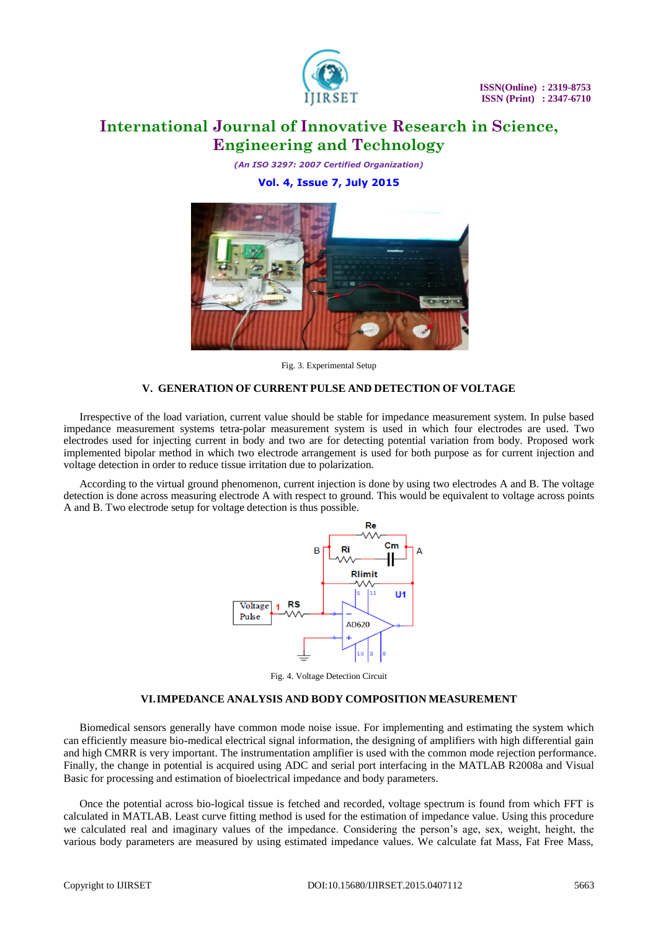

*(An ISO 3297: 2007 Certified Organization)*

### **Vol. 4, Issue 7, July 2015**



Fig. 3. Experimental Setup

### **V. GENERATION OF CURRENT PULSE AND DETECTION OF VOLTAGE**

Irrespective of the load variation, current value should be stable for impedance measurement system. In pulse based impedance measurement systems tetra-polar measurement system is used in which four electrodes are used. Two electrodes used for injecting current in body and two are for detecting potential variation from body. Proposed work implemented bipolar method in which two electrode arrangement is used for both purpose as for current injection and voltage detection in order to reduce tissue irritation due to polarization.

According to the virtual ground phenomenon, current injection is done by using two electrodes A and B. The voltage detection is done across measuring electrode A with respect to ground. This would be equivalent to voltage across points A and B. Two electrode setup for voltage detection is thus possible.



Fig. 4. Voltage Detection Circuit

### **VI.IMPEDANCE ANALYSIS AND BODY COMPOSITION MEASUREMENT**

Biomedical sensors generally have common mode noise issue. For implementing and estimating the system which can efficiently measure bio-medical electrical signal information, the designing of amplifiers with high differential gain and high CMRR is very important. The instrumentation amplifier is used with the common mode rejection performance. Finally, the change in potential is acquired using ADC and serial port interfacing in the MATLAB R2008a and Visual Basic for processing and estimation of bioelectrical impedance and body parameters.

Once the potential across bio-logical tissue is fetched and recorded, voltage spectrum is found from which FFT is calculated in MATLAB. Least curve fitting method is used for the estimation of impedance value. Using this procedure we calculated real and imaginary values of the impedance. Considering the person's age, sex, weight, height, the various body parameters are measured by using estimated impedance values. We calculate fat Mass, Fat Free Mass,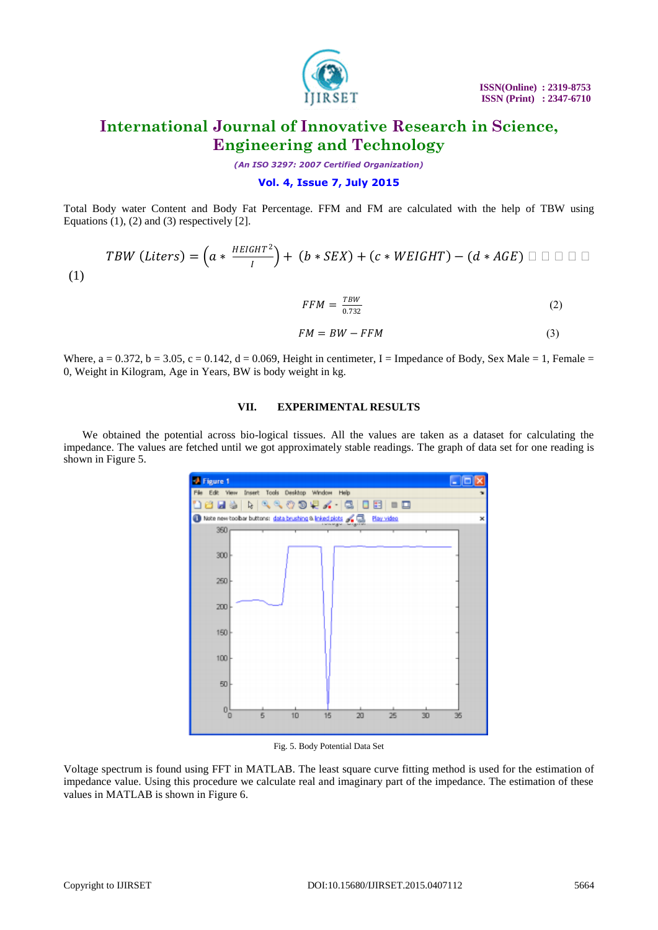

*(An ISO 3297: 2007 Certified Organization)*

### **Vol. 4, Issue 7, July 2015**

Total Body water Content and Body Fat Percentage. FFM and FM are calculated with the help of TBW using Equations  $(1)$ ,  $(2)$  and  $(3)$  respectively  $[2]$ .

$$
TBW (Liters) = \left(a * \frac{HEIGHT^2}{I}\right) + \left(b * SEX\right) + \left(c * WEIGHT\right) - \left(d * AGE\right) \sqcup \sqcup \sqcup \sqcup
$$
\n<sup>(1)</sup>

$$
FFM = \frac{TW}{0.732} \tag{2}
$$

$$
FM = BW - FFM \tag{3}
$$

Where,  $a = 0.372$ ,  $b = 3.05$ ,  $c = 0.142$ ,  $d = 0.069$ , Height in centimeter, I = Impedance of Body, Sex Male = 1, Female = 0, Weight in Kilogram, Age in Years, BW is body weight in kg.

#### **VII. EXPERIMENTAL RESULTS**

We obtained the potential across bio-logical tissues. All the values are taken as a dataset for calculating the impedance. The values are fetched until we got approximately stable readings. The graph of data set for one reading is shown in Figure 5.



Fig. 5. Body Potential Data Set

Voltage spectrum is found using FFT in MATLAB. The least square curve fitting method is used for the estimation of impedance value. Using this procedure we calculate real and imaginary part of the impedance. The estimation of these values in MATLAB is shown in Figure 6.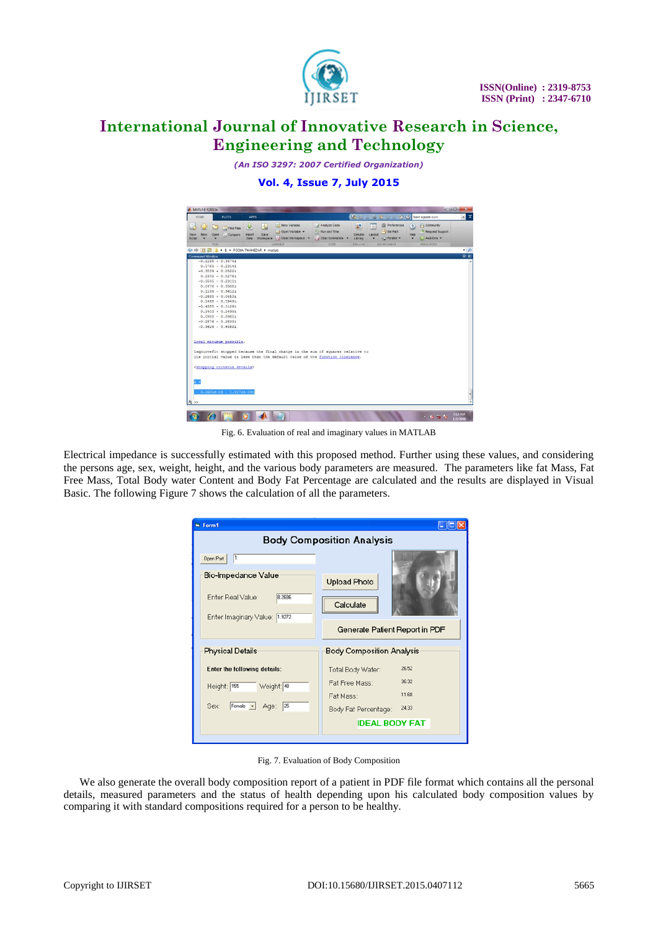

*(An ISO 3297: 2007 Certified Organization)*

**Vol. 4, Issue 7, July 2015**

| HOME   |                |      | <b>PLOTS</b>                                 | <b>APPS</b> |                                     |                                                                                                                                                               |  |                | 马山山             |        |                                    |              | <b>ED LO</b> SUI LE C   least square curv | $\overline{\mathbf{x}}$<br>$\times$ |
|--------|----------------|------|----------------------------------------------|-------------|-------------------------------------|---------------------------------------------------------------------------------------------------------------------------------------------------------------|--|----------------|-----------------|--------|------------------------------------|--------------|-------------------------------------------|-------------------------------------|
| B      |                |      | <b>D</b> Find Files                          | ଢ           | u                                   | New Variable                                                                                                                                                  |  | Analyze Code   | 噐               | ÷      | <b><i><u>O</u></i></b> Preferences | $\mathbf{r}$ | <b>Community</b>                          |                                     |
| New    | New            | Open | <b>Compare</b>                               | Import      | Save                                | Open Variable                                                                                                                                                 |  | Run and Time   | Simulnic        | Layout | Set Path                           | Help         | Request Support                           |                                     |
| Script |                |      |                                              | <b>Data</b> |                                     | Workspace / Clear Workspace ·                                                                                                                                 |  | Clear Commands | Library         |        | <b>WCI Paralel v</b>               | $\cdot$      | $C$ > Add-Ons $\star$                     |                                     |
|        |                | FILE |                                              |             |                                     | VARIABLE                                                                                                                                                      |  | cope           | <b>SIMULINK</b> |        | ENVIRONMENT                        |              | <b>RESOURCES</b>                          |                                     |
|        |                |      |                                              |             | + T & + E + POOJA THANEDAR + matlab |                                                                                                                                                               |  |                |                 |        |                                    |              |                                           | $\cdot$ $\rho$                      |
|        | Command Window |      |                                              |             |                                     |                                                                                                                                                               |  |                |                 |        |                                    |              |                                           | $\circ$ m                           |
|        |                |      | $-0.1195 + 0.34741$                          |             |                                     |                                                                                                                                                               |  |                |                 |        |                                    |              |                                           |                                     |
|        |                |      | $0.1769 - 0.23141$                           |             |                                     |                                                                                                                                                               |  |                |                 |        |                                    |              |                                           |                                     |
|        |                |      | $-0.3039 + 0.05221$                          |             |                                     |                                                                                                                                                               |  |                |                 |        |                                    |              |                                           |                                     |
|        |                |      | $0.2302 - 0.02781$                           |             |                                     |                                                                                                                                                               |  |                |                 |        |                                    |              |                                           |                                     |
|        |                |      | $-0.3595 - 0.23101$                          |             |                                     |                                                                                                                                                               |  |                |                 |        |                                    |              |                                           |                                     |
|        |                |      | $0.0476 + 0.33081$                           |             |                                     |                                                                                                                                                               |  |                |                 |        |                                    |              |                                           |                                     |
|        |                |      | $0.1145 - 0.36121$                           |             |                                     |                                                                                                                                                               |  |                |                 |        |                                    |              |                                           |                                     |
|        |                |      | $-0.2685 + 0.04531$                          |             |                                     |                                                                                                                                                               |  |                |                 |        |                                    |              |                                           |                                     |
|        |                |      | $0.1498 - 0.19491$                           |             |                                     |                                                                                                                                                               |  |                |                 |        |                                    |              |                                           |                                     |
|        |                |      | $-0.4385 - 0.11291$                          |             |                                     |                                                                                                                                                               |  |                |                 |        |                                    |              |                                           |                                     |
|        |                |      | $0.2403 + 0.24991$                           |             |                                     |                                                                                                                                                               |  |                |                 |        |                                    |              |                                           |                                     |
|        |                |      | $0.0988 - 0.59851$                           |             |                                     |                                                                                                                                                               |  |                |                 |        |                                    |              |                                           |                                     |
|        |                |      | $-0.2876 - 0.28331$                          |             |                                     |                                                                                                                                                               |  |                |                 |        |                                    |              |                                           |                                     |
|        |                |      | $-0.3626 - 0.64891$                          |             |                                     |                                                                                                                                                               |  |                |                 |        |                                    |              |                                           |                                     |
|        |                |      | Local minimum possible.                      |             |                                     |                                                                                                                                                               |  |                |                 |        |                                    |              |                                           |                                     |
|        |                |      |                                              |             |                                     |                                                                                                                                                               |  |                |                 |        |                                    |              |                                           |                                     |
|        |                |      |                                              |             |                                     | lagourvefit stopped because the final change in the sum of squares relative to<br>its initial value is less than the default value of the function tolerance. |  |                |                 |        |                                    |              |                                           |                                     |
|        |                |      |                                              |             |                                     |                                                                                                                                                               |  |                |                 |        |                                    |              |                                           |                                     |
|        |                |      | <stopping criteria="" details=""></stopping> |             |                                     |                                                                                                                                                               |  |                |                 |        |                                    |              |                                           |                                     |
|        |                |      |                                              |             |                                     |                                                                                                                                                               |  |                |                 |        |                                    |              |                                           |                                     |
|        |                |      |                                              |             |                                     |                                                                                                                                                               |  |                |                 |        |                                    |              |                                           |                                     |
|        |                |      |                                              |             |                                     |                                                                                                                                                               |  |                |                 |        |                                    |              |                                           |                                     |
|        |                |      |                                              |             |                                     |                                                                                                                                                               |  |                |                 |        |                                    |              |                                           |                                     |
|        |                |      | $8.2685e-04 - 1.9272e-041$                   |             |                                     |                                                                                                                                                               |  |                |                 |        |                                    |              |                                           |                                     |
|        |                |      |                                              |             |                                     |                                                                                                                                                               |  |                |                 |        |                                    |              |                                           |                                     |
|        |                |      |                                              |             |                                     |                                                                                                                                                               |  |                |                 |        |                                    |              |                                           |                                     |

Fig. 6. Evaluation of real and imaginary values in MATLAB

Electrical impedance is successfully estimated with this proposed method. Further using these values, and considering the persons age, sex, weight, height, and the various body parameters are measured. The parameters like fat Mass, Fat Free Mass, Total Body water Content and Body Fat Percentage are calculated and the results are displayed in Visual Basic. The following Figure 7 shows the calculation of all the parameters.

| G. Form1                                                  |                                  |  |  |  |  |  |  |  |  |  |  |
|-----------------------------------------------------------|----------------------------------|--|--|--|--|--|--|--|--|--|--|
| <b>Body Composition Analysis</b>                          |                                  |  |  |  |  |  |  |  |  |  |  |
| 1<br><b>Open Port</b>                                     |                                  |  |  |  |  |  |  |  |  |  |  |
| <b>Bio-Impedance Value</b><br>Enter Real Value:<br>8.2686 | <b>Upload Photo</b>              |  |  |  |  |  |  |  |  |  |  |
| Enter Imaginary Value: 1.9272                             | Calculate                        |  |  |  |  |  |  |  |  |  |  |
|                                                           | Generate Patient Report in PDF   |  |  |  |  |  |  |  |  |  |  |
| <b>Physical Details</b>                                   | <b>Body Composition Analysis</b> |  |  |  |  |  |  |  |  |  |  |
| Enter the following details:                              | 26.52<br>Total Body Water:       |  |  |  |  |  |  |  |  |  |  |
| Height: 155<br>Weight: 48                                 | 36.32<br>Fat Free Mass:          |  |  |  |  |  |  |  |  |  |  |
| $F$ emale $\blacktriangleright$<br>Sex:<br>Age: 25        | 11.68<br>Fat Mass:               |  |  |  |  |  |  |  |  |  |  |
|                                                           | 24.33<br>Body Fat Percentage:    |  |  |  |  |  |  |  |  |  |  |
|                                                           | <b>IDEAL BODY FAT</b>            |  |  |  |  |  |  |  |  |  |  |
|                                                           |                                  |  |  |  |  |  |  |  |  |  |  |

Fig. 7. Evaluation of Body Composition

We also generate the overall body composition report of a patient in PDF file format which contains all the personal details, measured parameters and the status of health depending upon his calculated body composition values by comparing it with standard compositions required for a person to be healthy.